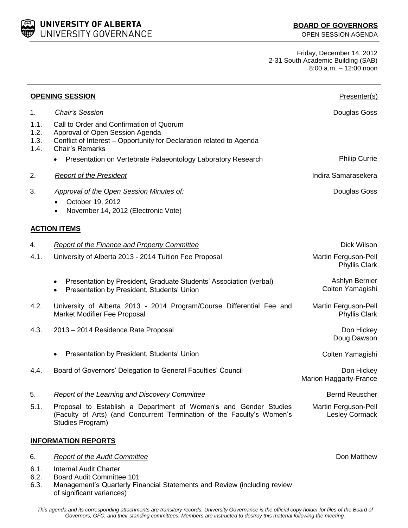6.3. Management's Quarterly Financial Statements and Review (including review of significant variances)

Friday, December 14, 2012 2-31 South Academic Building (SAB) 8:00 a.m. – 12:00 noon

| <b>OPENING SESSION</b>       |                                                                                                                                                                               | Presenter(s)                                  |
|------------------------------|-------------------------------------------------------------------------------------------------------------------------------------------------------------------------------|-----------------------------------------------|
| 1.                           | <b>Chair's Session</b>                                                                                                                                                        | Douglas Goss                                  |
| 1.1.<br>1.2.<br>1.3.<br>1.4. | Call to Order and Confirmation of Quorum<br>Approval of Open Session Agenda<br>Conflict of Interest - Opportunity for Declaration related to Agenda<br><b>Chair's Remarks</b> |                                               |
|                              | Presentation on Vertebrate Palaeontology Laboratory Research                                                                                                                  | <b>Philip Currie</b>                          |
| 2.                           | <b>Report of the President</b>                                                                                                                                                | Indira Samarasekera                           |
| 3.                           | <b>Approval of the Open Session Minutes of:</b><br>October 19, 2012<br>$\bullet$<br>November 14, 2012 (Electronic Vote)<br>$\bullet$                                          | Douglas Goss                                  |
|                              | <b>ACTION ITEMS</b>                                                                                                                                                           |                                               |
| 4.                           | <b>Report of the Finance and Property Committee</b>                                                                                                                           | Dick Wilson                                   |
| 4.1.                         | University of Alberta 2013 - 2014 Tuition Fee Proposal                                                                                                                        | Martin Ferguson-Pell<br><b>Phyllis Clark</b>  |
|                              | Presentation by President, Graduate Students' Association (verbal)<br>$\bullet$<br>Presentation by President, Students' Union<br>$\bullet$                                    | Ashlyn Bernier<br>Colten Yamagishi            |
| 4.2.                         | University of Alberta 2013 - 2014 Program/Course Differential Fee and<br>Market Modifier Fee Proposal                                                                         | Martin Ferguson-Pell<br><b>Phyllis Clark</b>  |
| 4.3.                         | 2013 - 2014 Residence Rate Proposal                                                                                                                                           | Don Hickey<br>Doug Dawson                     |
|                              | Presentation by President, Students' Union                                                                                                                                    | Colten Yamagishi                              |
| 4.4.                         | Board of Governors' Delegation to General Faculties' Council                                                                                                                  | Don Hickey<br><b>Marion Haggarty-France</b>   |
| 5.                           | Report of the Learning and Discovery Committee                                                                                                                                | <b>Bernd Reuscher</b>                         |
| 5.1.                         | Proposal to Establish a Department of Women's and Gender Studies<br>(Faculty of Arts) (and Concurrent Termination of the Faculty's Women's<br>Studies Program)                | Martin Ferguson-Pell<br><b>Lesley Cormack</b> |
|                              | <b>INFORMATION REPORTS</b>                                                                                                                                                    |                                               |
| 6.                           | <b>Report of the Audit Committee</b>                                                                                                                                          | Don Matthew                                   |
| 6.1.<br>6.2.<br>c o          | Internal Audit Charter<br><b>Board Audit Committee 101</b><br>Managamant's Quartorly Financial Otatemante and Daview (including review                                        |                                               |

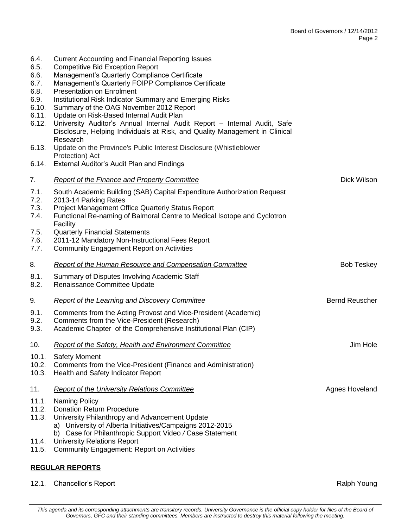| 6.4.<br>6.5.<br>6.6. | <b>Current Accounting and Financial Reporting Issues</b><br><b>Competitive Bid Exception Report</b><br>Management's Quarterly Compliance Certificate                |                       |
|----------------------|---------------------------------------------------------------------------------------------------------------------------------------------------------------------|-----------------------|
| 6.7.                 | Management's Quarterly FOIPP Compliance Certificate                                                                                                                 |                       |
| 6.8.                 | <b>Presentation on Enrolment</b>                                                                                                                                    |                       |
| 6.9.<br>6.10.        | Institutional Risk Indicator Summary and Emerging Risks<br>Summary of the OAG November 2012 Report                                                                  |                       |
| 6.11.                | Update on Risk-Based Internal Audit Plan                                                                                                                            |                       |
| 6.12.                | University Auditor's Annual Internal Audit Report - Internal Audit, Safe<br>Disclosure, Helping Individuals at Risk, and Quality Management in Clinical<br>Research |                       |
| 6.13.                | Update on the Province's Public Interest Disclosure (Whistleblower<br>Protection) Act                                                                               |                       |
| 6.14.                | External Auditor's Audit Plan and Findings                                                                                                                          |                       |
| 7.                   | <b>Report of the Finance and Property Committee</b>                                                                                                                 | Dick Wilson           |
| 7.1.<br>7.2.         | South Academic Building (SAB) Capital Expenditure Authorization Request<br>2013-14 Parking Rates                                                                    |                       |
| 7.3.<br>7.4.         | Project Management Office Quarterly Status Report<br>Functional Re-naming of Balmoral Centre to Medical Isotope and Cyclotron<br>Facility                           |                       |
| 7.5.                 | <b>Quarterly Financial Statements</b>                                                                                                                               |                       |
| 7.6.                 | 2011-12 Mandatory Non-Instructional Fees Report                                                                                                                     |                       |
| 7.7.                 | <b>Community Engagement Report on Activities</b>                                                                                                                    |                       |
| 8.                   | <b>Report of the Human Resource and Compensation Committee</b>                                                                                                      | <b>Bob Teskey</b>     |
| 8.1.<br>8.2.         | Summary of Disputes Involving Academic Staff<br>Renaissance Committee Update                                                                                        |                       |
| 9.                   | <b>Report of the Learning and Discovery Committee</b>                                                                                                               | <b>Bernd Reuscher</b> |
| 9.1.<br>9.2.         | Comments from the Acting Provost and Vice-President (Academic)<br>Comments from the Vice-President (Research)                                                       |                       |
| 9.3.                 | Academic Chapter of the Comprehensive Institutional Plan (CIP)                                                                                                      |                       |
| 10.                  | Report of the Safety, Health and Environment Committee                                                                                                              | Jim Hole              |
| 10.1.                | <b>Safety Moment</b>                                                                                                                                                |                       |
| 10.2.                | Comments from the Vice-President (Finance and Administration)                                                                                                       |                       |
| 10.3.                | Health and Safety Indicator Report                                                                                                                                  |                       |
| 11.                  | Report of the University Relations Committee                                                                                                                        | Agnes Hoveland        |
| 11.1.                | Naming Policy                                                                                                                                                       |                       |
| 11.2.<br>11.3.       | <b>Donation Return Procedure</b><br>University Philanthropy and Advancement Update                                                                                  |                       |
|                      | a) University of Alberta Initiatives/Campaigns 2012-2015                                                                                                            |                       |
|                      | b) Case for Philanthropic Support Video / Case Statement                                                                                                            |                       |
| 11.4.                | <b>University Relations Report</b>                                                                                                                                  |                       |
| 11.5.                | <b>Community Engagement: Report on Activities</b>                                                                                                                   |                       |
|                      | <b>REGULAR REPORTS</b>                                                                                                                                              |                       |

12.1. Chancellor's Report **Ralph Young** Ralph Young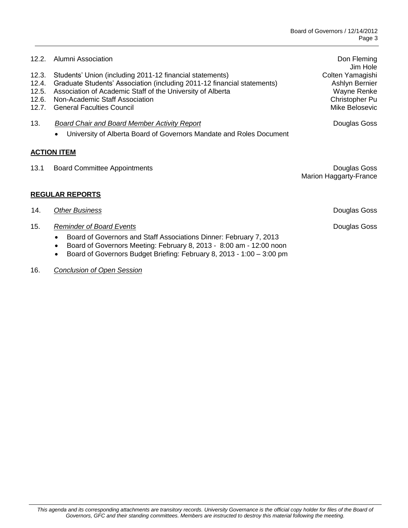| 12.2.<br>12.3.<br>12.4.<br>12.5.<br>12.6.<br>12.7. | Alumni Association<br>Students' Union (including 2011-12 financial statements)<br>Graduate Students' Association (including 2011-12 financial statements)<br>Association of Academic Staff of the University of Alberta<br>Non-Academic Staff Association<br><b>General Faculties Council</b> | Don Fleming<br>Jim Hole<br>Colten Yamagishi<br>Ashlyn Bernier<br>Wayne Renke<br>Christopher Pu<br>Mike Belosevic |  |  |  |
|----------------------------------------------------|-----------------------------------------------------------------------------------------------------------------------------------------------------------------------------------------------------------------------------------------------------------------------------------------------|------------------------------------------------------------------------------------------------------------------|--|--|--|
| 13.                                                | Board Chair and Board Member Activity Report<br>University of Alberta Board of Governors Mandate and Roles Document                                                                                                                                                                           | Douglas Goss                                                                                                     |  |  |  |
|                                                    | <b>ACTION ITEM</b>                                                                                                                                                                                                                                                                            |                                                                                                                  |  |  |  |
| 13.1                                               | <b>Board Committee Appointments</b>                                                                                                                                                                                                                                                           | Douglas Goss<br>Marion Haggarty-France                                                                           |  |  |  |
| <b>REGULAR REPORTS</b>                             |                                                                                                                                                                                                                                                                                               |                                                                                                                  |  |  |  |
| 14.                                                | <b>Other Business</b>                                                                                                                                                                                                                                                                         | Douglas Goss                                                                                                     |  |  |  |
| 15.                                                | <b>Reminder of Board Events</b><br>Board of Governors and Staff Associations Dinner: February 7, 2013<br>$\bullet$<br>Board of Governors Meeting: February 8, 2013 - 8:00 am - 12:00 noon<br>$\bullet$<br>Board of Governors Budget Briefing: February 8, 2013 - 1:00 - 3:00 pm               | Douglas Goss                                                                                                     |  |  |  |

16. *Conclusion of Open Session*